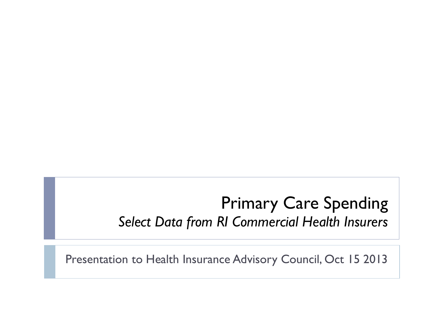#### Primary Care Spending *Select Data from RI Commercial Health Insurers*

Presentation to Health Insurance Advisory Council, Oct 15 2013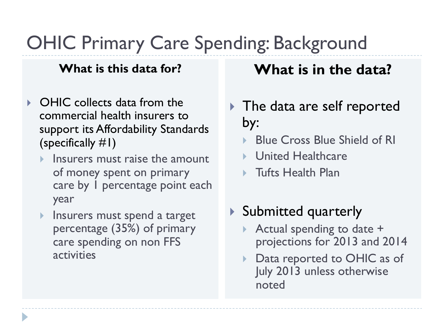# OHIC Primary Care Spending: Background

#### **What is this data for?**

- **▶ OHIC collects data from the** commercial health insurers to support its Affordability Standards (specifically #1)
	- Insurers must raise the amount of money spent on primary care by 1 percentage point each year
	- **Insurers must spend a target** percentage (35%) of primary care spending on non FFS activities

#### **What is in the data?**

- ▶ The data are self reported by:
	- } Blue Cross Blue Shield of RI
	- ▶ United Healthcare
	- } Tufts Health Plan
- } Submitted quarterly
	- } Actual spending to date + projections for 2013 and 2014
	- Data reported to OHIC as of July 2013 unless otherwise noted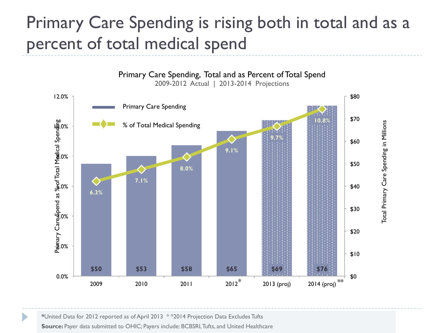## Primary Care Spending is rising both in total and as a percent of total medical spend



**\***United Data for 2012 reported as of April 2013 \* \*2014 Projection Data Excludes Tufts

**Source:** Payer data submitted to OHIC; Payers include: BCBSRI, Tufts, and United Healthcare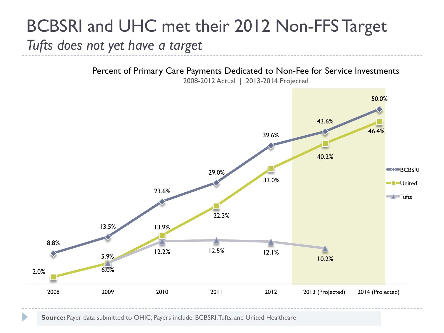### BCBSRI and UHC met their 2012 Non-FFS Target *Tufts does not yet have a target*

Percent of Primary Care Payments Dedicated to Non-Fee for Service Investments



2008-2012 Actual | 2013-2014 Projected

**Source:** Payer data submitted to OHIC; Payers include: BCBSRI, Tufts, and United Healthcare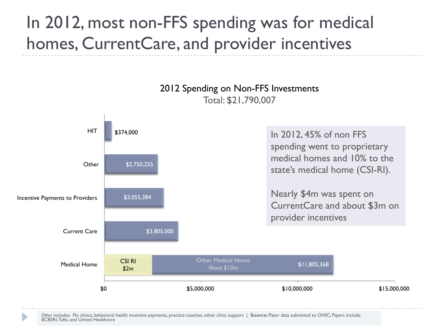# In 2012, most non-FFS spending was for medical homes, CurrentCare, and provider incentives



Other includes: Flu clinics, behavioral health incentive payments, practice coaches, other clinic support | **Source: Payer data submitted to OHIC**; Payers include:<br>BCBSRI, Tufts, and United Healthcare